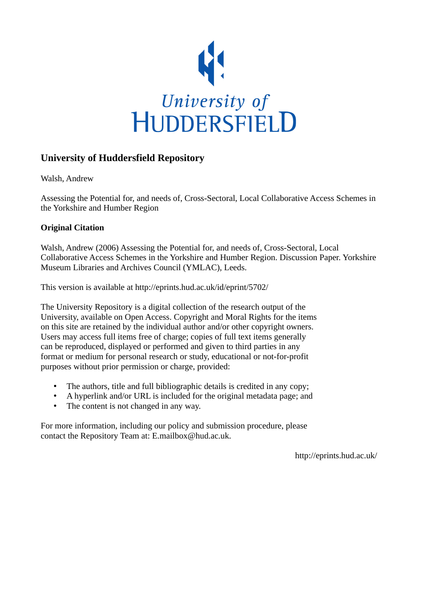

# **University of Huddersfield Repository**

Walsh, Andrew

Assessing the Potential for, and needs of, Cross-Sectoral, Local Collaborative Access Schemes in the Yorkshire and Humber Region

#### **Original Citation**

Walsh, Andrew (2006) Assessing the Potential for, and needs of, Cross-Sectoral, Local Collaborative Access Schemes in the Yorkshire and Humber Region. Discussion Paper. Yorkshire Museum Libraries and Archives Council (YMLAC), Leeds.

This version is available at http://eprints.hud.ac.uk/id/eprint/5702/

The University Repository is a digital collection of the research output of the University, available on Open Access. Copyright and Moral Rights for the items on this site are retained by the individual author and/or other copyright owners. Users may access full items free of charge; copies of full text items generally can be reproduced, displayed or performed and given to third parties in any format or medium for personal research or study, educational or not-for-profit purposes without prior permission or charge, provided:

- The authors, title and full bibliographic details is credited in any copy;
- A hyperlink and/or URL is included for the original metadata page; and
- The content is not changed in any way.

For more information, including our policy and submission procedure, please contact the Repository Team at: E.mailbox@hud.ac.uk.

http://eprints.hud.ac.uk/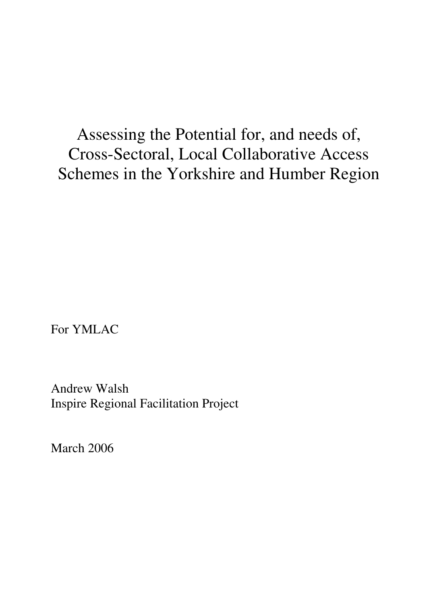Assessing the Potential for, and needs of, Cross-Sectoral, Local Collaborative Access Schemes in the Yorkshire and Humber Region

For YMLAC

Andrew Walsh Inspire Regional Facilitation Project

March 2006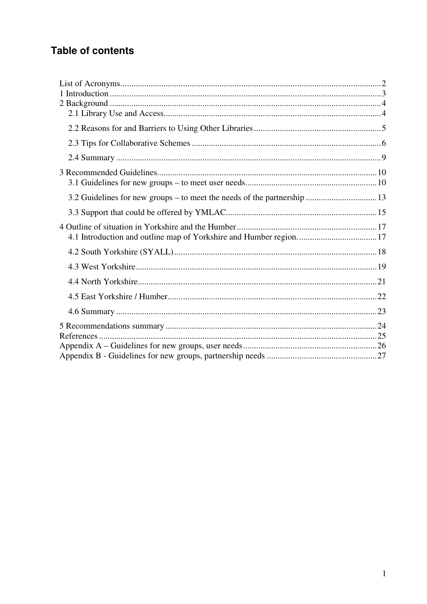# **Table of contents**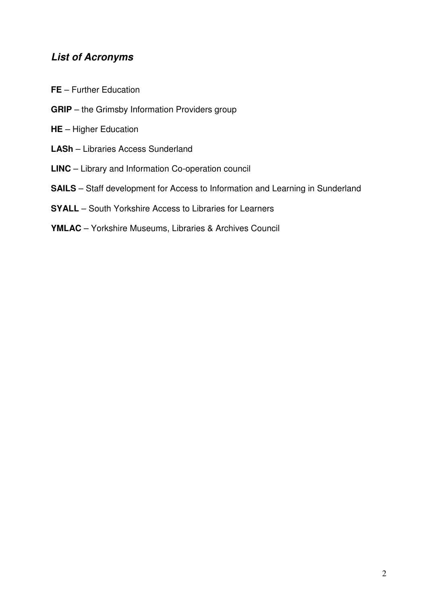# **List of Acronyms**

- **FE**  Further Education
- **GRIP** the Grimsby Information Providers group
- **HE** Higher Education
- **LASh** Libraries Access Sunderland
- **LINC** Library and Information Co-operation council
- **SAILS** Staff development for Access to Information and Learning in Sunderland
- **SYALL** South Yorkshire Access to Libraries for Learners
- **YMLAC** Yorkshire Museums, Libraries & Archives Council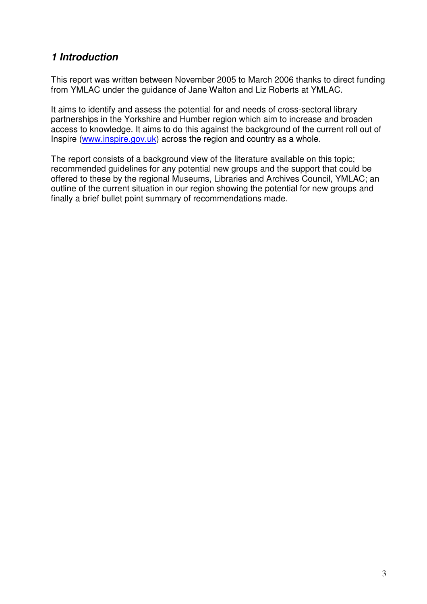# **1 Introduction**

This report was written between November 2005 to March 2006 thanks to direct funding from YMLAC under the guidance of Jane Walton and Liz Roberts at YMLAC.

It aims to identify and assess the potential for and needs of cross-sectoral library partnerships in the Yorkshire and Humber region which aim to increase and broaden access to knowledge. It aims to do this against the background of the current roll out of Inspire (www.inspire.gov.uk) across the region and country as a whole.

The report consists of a background view of the literature available on this topic; recommended guidelines for any potential new groups and the support that could be offered to these by the regional Museums, Libraries and Archives Council, YMLAC; an outline of the current situation in our region showing the potential for new groups and finally a brief bullet point summary of recommendations made.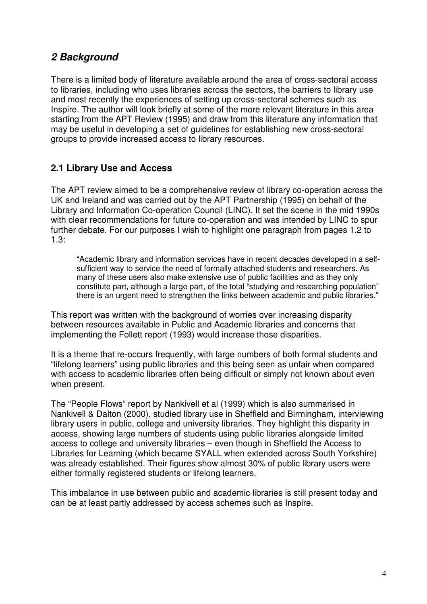# **2 Background**

There is a limited body of literature available around the area of cross-sectoral access to libraries, including who uses libraries across the sectors, the barriers to library use and most recently the experiences of setting up cross-sectoral schemes such as Inspire. The author will look briefly at some of the more relevant literature in this area starting from the APT Review (1995) and draw from this literature any information that may be useful in developing a set of guidelines for establishing new cross-sectoral groups to provide increased access to library resources.

# **2.1 Library Use and Access**

The APT review aimed to be a comprehensive review of library co-operation across the UK and Ireland and was carried out by the APT Partnership (1995) on behalf of the Library and Information Co-operation Council (LINC). It set the scene in the mid 1990s with clear recommendations for future co-operation and was intended by LINC to spur further debate. For our purposes I wish to highlight one paragraph from pages 1.2 to 1.3:

"Academic library and information services have in recent decades developed in a selfsufficient way to service the need of formally attached students and researchers. As many of these users also make extensive use of public facilities and as they only constitute part, although a large part, of the total "studying and researching population" there is an urgent need to strengthen the links between academic and public libraries."

This report was written with the background of worries over increasing disparity between resources available in Public and Academic libraries and concerns that implementing the Follett report (1993) would increase those disparities.

It is a theme that re-occurs frequently, with large numbers of both formal students and "lifelong learners" using public libraries and this being seen as unfair when compared with access to academic libraries often being difficult or simply not known about even when present.

The "People Flows" report by Nankivell et al (1999) which is also summarised in Nankivell & Dalton (2000), studied library use in Sheffield and Birmingham, interviewing library users in public, college and university libraries. They highlight this disparity in access, showing large numbers of students using public libraries alongside limited access to college and university libraries – even though in Sheffield the Access to Libraries for Learning (which became SYALL when extended across South Yorkshire) was already established. Their figures show almost 30% of public library users were either formally registered students or lifelong learners.

This imbalance in use between public and academic libraries is still present today and can be at least partly addressed by access schemes such as Inspire.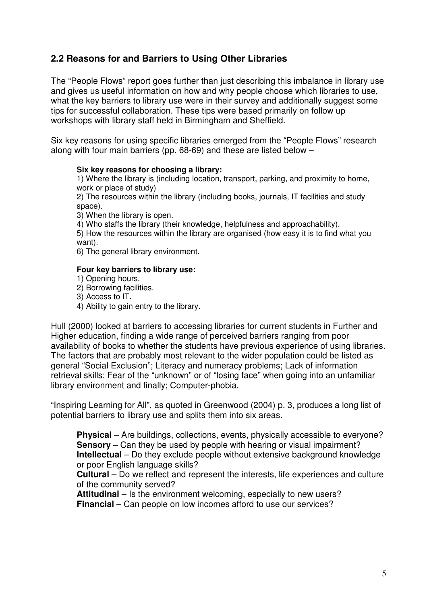# **2.2 Reasons for and Barriers to Using Other Libraries**

The "People Flows" report goes further than just describing this imbalance in library use and gives us useful information on how and why people choose which libraries to use, what the key barriers to library use were in their survey and additionally suggest some tips for successful collaboration. These tips were based primarily on follow up workshops with library staff held in Birmingham and Sheffield.

Six key reasons for using specific libraries emerged from the "People Flows" research along with four main barriers (pp. 68-69) and these are listed below –

#### **Six key reasons for choosing a library:**

1) Where the library is (including location, transport, parking, and proximity to home, work or place of study)

2) The resources within the library (including books, journals, IT facilities and study space).

3) When the library is open.

4) Who staffs the library (their knowledge, helpfulness and approachability).

5) How the resources within the library are organised (how easy it is to find what you want).

6) The general library environment.

#### **Four key barriers to library use:**

- 1) Opening hours.
- 2) Borrowing facilities.

3) Access to IT.

4) Ability to gain entry to the library.

Hull (2000) looked at barriers to accessing libraries for current students in Further and Higher education, finding a wide range of perceived barriers ranging from poor availability of books to whether the students have previous experience of using libraries. The factors that are probably most relevant to the wider population could be listed as general "Social Exclusion"; Literacy and numeracy problems; Lack of information retrieval skills; Fear of the "unknown" or of "losing face" when going into an unfamiliar library environment and finally; Computer-phobia.

"Inspiring Learning for All", as quoted in Greenwood (2004) p. 3, produces a long list of potential barriers to library use and splits them into six areas.

**Physical** – Are buildings, collections, events, physically accessible to everyone? **Sensory** – Can they be used by people with hearing or visual impairment? **Intellectual** – Do they exclude people without extensive background knowledge or poor English language skills?

**Cultural** – Do we reflect and represent the interests, life experiences and culture of the community served?

**Attitudinal** – Is the environment welcoming, especially to new users? **Financial** – Can people on low incomes afford to use our services?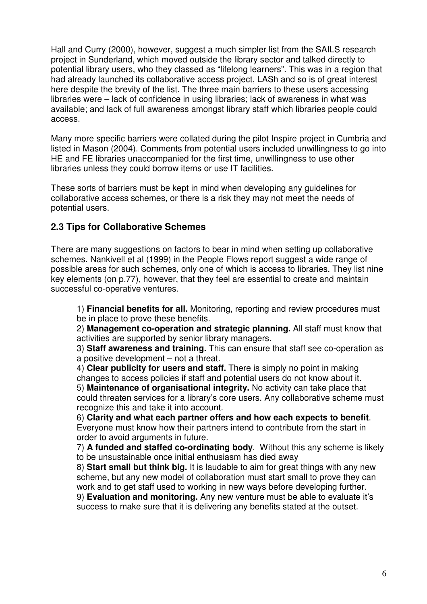Hall and Curry (2000), however, suggest a much simpler list from the SAILS research project in Sunderland, which moved outside the library sector and talked directly to potential library users, who they classed as "lifelong learners". This was in a region that had already launched its collaborative access project, LASh and so is of great interest here despite the brevity of the list. The three main barriers to these users accessing libraries were – lack of confidence in using libraries; lack of awareness in what was available; and lack of full awareness amongst library staff which libraries people could access.

Many more specific barriers were collated during the pilot Inspire project in Cumbria and listed in Mason (2004). Comments from potential users included unwillingness to go into HE and FE libraries unaccompanied for the first time, unwillingness to use other libraries unless they could borrow items or use IT facilities.

These sorts of barriers must be kept in mind when developing any guidelines for collaborative access schemes, or there is a risk they may not meet the needs of potential users.

# **2.3 Tips for Collaborative Schemes**

There are many suggestions on factors to bear in mind when setting up collaborative schemes. Nankivell et al (1999) in the People Flows report suggest a wide range of possible areas for such schemes, only one of which is access to libraries. They list nine key elements (on p.77), however, that they feel are essential to create and maintain successful co-operative ventures.

1) **Financial benefits for all.** Monitoring, reporting and review procedures must be in place to prove these benefits.

2) **Management co-operation and strategic planning.** All staff must know that activities are supported by senior library managers.

3) **Staff awareness and training.** This can ensure that staff see co-operation as a positive development – not a threat.

4) **Clear publicity for users and staff.** There is simply no point in making changes to access policies if staff and potential users do not know about it.

5) **Maintenance of organisational integrity.** No activity can take place that could threaten services for a library's core users. Any collaborative scheme must recognize this and take it into account.

6) **Clarity and what each partner offers and how each expects to benefit**. Everyone must know how their partners intend to contribute from the start in order to avoid arguments in future.

7) **A funded and staffed co-ordinating body**. Without this any scheme is likely to be unsustainable once initial enthusiasm has died away

8) **Start small but think big.** It is laudable to aim for great things with any new scheme, but any new model of collaboration must start small to prove they can work and to get staff used to working in new ways before developing further.

9) **Evaluation and monitoring.** Any new venture must be able to evaluate it's success to make sure that it is delivering any benefits stated at the outset.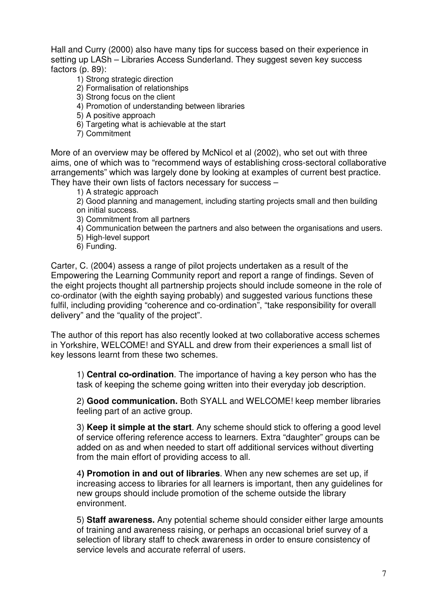Hall and Curry (2000) also have many tips for success based on their experience in setting up LASh – Libraries Access Sunderland. They suggest seven key success factors (p. 89):

- 1) Strong strategic direction
- 2) Formalisation of relationships
- 3) Strong focus on the client
- 4) Promotion of understanding between libraries
- 5) A positive approach
- 6) Targeting what is achievable at the start
- 7) Commitment

More of an overview may be offered by McNicol et al (2002), who set out with three aims, one of which was to "recommend ways of establishing cross-sectoral collaborative arrangements" which was largely done by looking at examples of current best practice. They have their own lists of factors necessary for success –

1) A strategic approach

2) Good planning and management, including starting projects small and then building on initial success.

- 3) Commitment from all partners
- 4) Communication between the partners and also between the organisations and users.
- 5) High-level support
- 6) Funding.

Carter, C. (2004) assess a range of pilot projects undertaken as a result of the Empowering the Learning Community report and report a range of findings. Seven of the eight projects thought all partnership projects should include someone in the role of co-ordinator (with the eighth saying probably) and suggested various functions these fulfil, including providing "coherence and co-ordination", "take responsibility for overall delivery" and the "quality of the project".

The author of this report has also recently looked at two collaborative access schemes in Yorkshire, WELCOME! and SYALL and drew from their experiences a small list of key lessons learnt from these two schemes.

1) **Central co-ordination**. The importance of having a key person who has the task of keeping the scheme going written into their everyday job description.

2) **Good communication.** Both SYALL and WELCOME! keep member libraries feeling part of an active group.

3) **Keep it simple at the start**. Any scheme should stick to offering a good level of service offering reference access to learners. Extra "daughter" groups can be added on as and when needed to start off additional services without diverting from the main effort of providing access to all.

4**) Promotion in and out of libraries**. When any new schemes are set up, if increasing access to libraries for all learners is important, then any guidelines for new groups should include promotion of the scheme outside the library environment.

5) **Staff awareness.** Any potential scheme should consider either large amounts of training and awareness raising, or perhaps an occasional brief survey of a selection of library staff to check awareness in order to ensure consistency of service levels and accurate referral of users.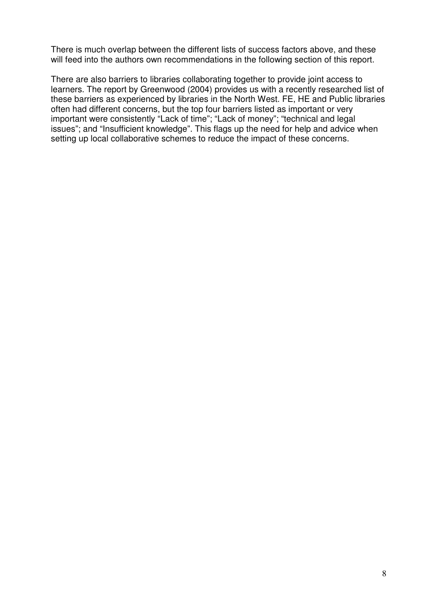There is much overlap between the different lists of success factors above, and these will feed into the authors own recommendations in the following section of this report.

There are also barriers to libraries collaborating together to provide joint access to learners. The report by Greenwood (2004) provides us with a recently researched list of these barriers as experienced by libraries in the North West. FE, HE and Public libraries often had different concerns, but the top four barriers listed as important or very important were consistently "Lack of time"; "Lack of money"; "technical and legal issues"; and "Insufficient knowledge". This flags up the need for help and advice when setting up local collaborative schemes to reduce the impact of these concerns.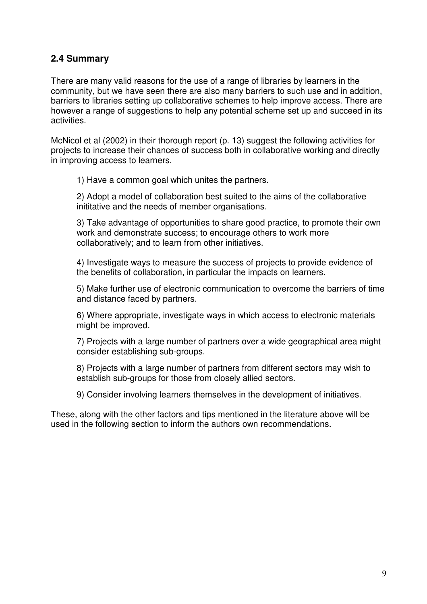# **2.4 Summary**

There are many valid reasons for the use of a range of libraries by learners in the community, but we have seen there are also many barriers to such use and in addition, barriers to libraries setting up collaborative schemes to help improve access. There are however a range of suggestions to help any potential scheme set up and succeed in its activities.

McNicol et al (2002) in their thorough report (p. 13) suggest the following activities for projects to increase their chances of success both in collaborative working and directly in improving access to learners.

1) Have a common goal which unites the partners.

2) Adopt a model of collaboration best suited to the aims of the collaborative inititative and the needs of member organisations.

3) Take advantage of opportunities to share good practice, to promote their own work and demonstrate success; to encourage others to work more collaboratively; and to learn from other initiatives.

4) Investigate ways to measure the success of projects to provide evidence of the benefits of collaboration, in particular the impacts on learners.

5) Make further use of electronic communication to overcome the barriers of time and distance faced by partners.

6) Where appropriate, investigate ways in which access to electronic materials might be improved.

7) Projects with a large number of partners over a wide geographical area might consider establishing sub-groups.

8) Projects with a large number of partners from different sectors may wish to establish sub-groups for those from closely allied sectors.

9) Consider involving learners themselves in the development of initiatives.

These, along with the other factors and tips mentioned in the literature above will be used in the following section to inform the authors own recommendations.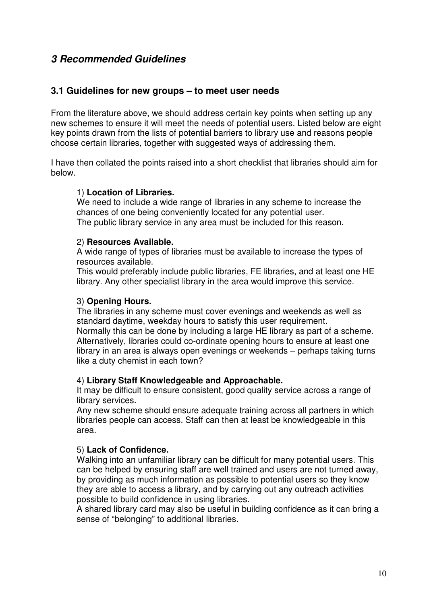# **3 Recommended Guidelines**

## **3.1 Guidelines for new groups – to meet user needs**

From the literature above, we should address certain key points when setting up any new schemes to ensure it will meet the needs of potential users. Listed below are eight key points drawn from the lists of potential barriers to library use and reasons people choose certain libraries, together with suggested ways of addressing them.

I have then collated the points raised into a short checklist that libraries should aim for below.

#### 1) **Location of Libraries.**

We need to include a wide range of libraries in any scheme to increase the chances of one being conveniently located for any potential user. The public library service in any area must be included for this reason.

#### 2) **Resources Available.**

A wide range of types of libraries must be available to increase the types of resources available.

This would preferably include public libraries, FE libraries, and at least one HE library. Any other specialist library in the area would improve this service.

#### 3) **Opening Hours.**

The libraries in any scheme must cover evenings and weekends as well as standard daytime, weekday hours to satisfy this user requirement. Normally this can be done by including a large HE library as part of a scheme. Alternatively, libraries could co-ordinate opening hours to ensure at least one library in an area is always open evenings or weekends – perhaps taking turns like a duty chemist in each town?

#### 4) **Library Staff Knowledgeable and Approachable.**

It may be difficult to ensure consistent, good quality service across a range of library services.

Any new scheme should ensure adequate training across all partners in which libraries people can access. Staff can then at least be knowledgeable in this area.

#### 5) **Lack of Confidence.**

Walking into an unfamiliar library can be difficult for many potential users. This can be helped by ensuring staff are well trained and users are not turned away, by providing as much information as possible to potential users so they know they are able to access a library, and by carrying out any outreach activities possible to build confidence in using libraries.

A shared library card may also be useful in building confidence as it can bring a sense of "belonging" to additional libraries.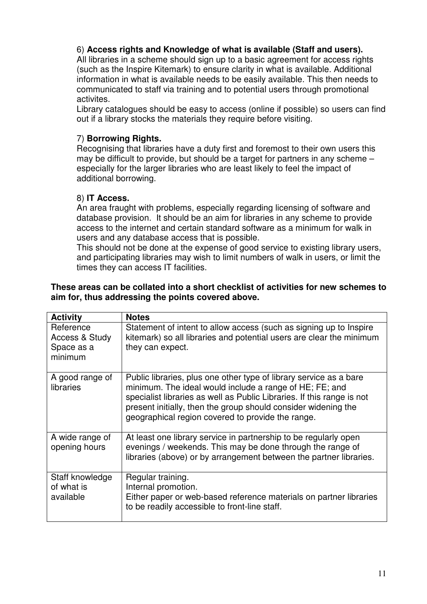# 6) **Access rights and Knowledge of what is available (Staff and users).**

All libraries in a scheme should sign up to a basic agreement for access rights (such as the Inspire Kitemark) to ensure clarity in what is available. Additional information in what is available needs to be easily available. This then needs to communicated to staff via training and to potential users through promotional activites.

Library catalogues should be easy to access (online if possible) so users can find out if a library stocks the materials they require before visiting.

# 7) **Borrowing Rights.**

Recognising that libraries have a duty first and foremost to their own users this may be difficult to provide, but should be a target for partners in any scheme – especially for the larger libraries who are least likely to feel the impact of additional borrowing.

# 8) **IT Access.**

An area fraught with problems, especially regarding licensing of software and database provision. It should be an aim for libraries in any scheme to provide access to the internet and certain standard software as a minimum for walk in users and any database access that is possible.

This should not be done at the expense of good service to existing library users, and participating libraries may wish to limit numbers of walk in users, or limit the times they can access IT facilities.

#### **These areas can be collated into a short checklist of activities for new schemes to aim for, thus addressing the points covered above.**

| <b>Activity</b>                                      | <b>Notes</b>                                                                                                                                                                                                                                                                                                                   |
|------------------------------------------------------|--------------------------------------------------------------------------------------------------------------------------------------------------------------------------------------------------------------------------------------------------------------------------------------------------------------------------------|
| Reference<br>Access & Study<br>Space as a<br>minimum | Statement of intent to allow access (such as signing up to Inspire<br>kitemark) so all libraries and potential users are clear the minimum<br>they can expect.                                                                                                                                                                 |
| A good range of<br>libraries                         | Public libraries, plus one other type of library service as a bare<br>minimum. The ideal would include a range of HE; FE; and<br>specialist libraries as well as Public Libraries. If this range is not<br>present initially, then the group should consider widening the<br>geographical region covered to provide the range. |
| A wide range of<br>opening hours                     | At least one library service in partnership to be regularly open<br>evenings / weekends. This may be done through the range of<br>libraries (above) or by arrangement between the partner libraries.                                                                                                                           |
| Staff knowledge<br>of what is<br>available           | Regular training.<br>Internal promotion.<br>Either paper or web-based reference materials on partner libraries<br>to be readily accessible to front-line staff.                                                                                                                                                                |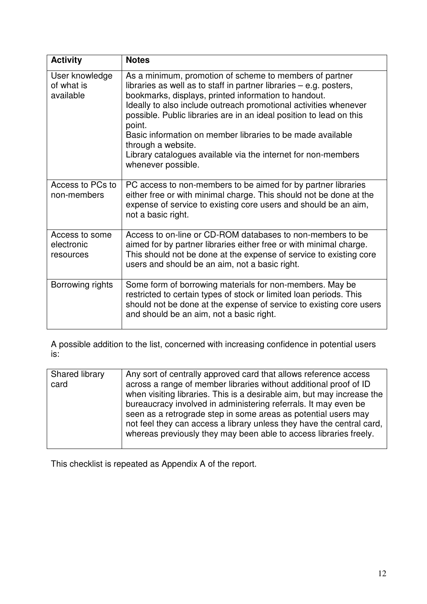| <b>Activity</b>                           | <b>Notes</b>                                                                                                                                                                                                                                                                                                                                                                                                                                                                                                          |
|-------------------------------------------|-----------------------------------------------------------------------------------------------------------------------------------------------------------------------------------------------------------------------------------------------------------------------------------------------------------------------------------------------------------------------------------------------------------------------------------------------------------------------------------------------------------------------|
| User knowledge<br>of what is<br>available | As a minimum, promotion of scheme to members of partner<br>libraries as well as to staff in partner libraries - e.g. posters,<br>bookmarks, displays, printed information to handout.<br>Ideally to also include outreach promotional activities whenever<br>possible. Public libraries are in an ideal position to lead on this<br>point.<br>Basic information on member libraries to be made available<br>through a website.<br>Library catalogues available via the internet for non-members<br>whenever possible. |
| Access to PCs to<br>non-members           | PC access to non-members to be aimed for by partner libraries<br>either free or with minimal charge. This should not be done at the<br>expense of service to existing core users and should be an aim,<br>not a basic right.                                                                                                                                                                                                                                                                                          |
| Access to some<br>electronic<br>resources | Access to on-line or CD-ROM databases to non-members to be<br>aimed for by partner libraries either free or with minimal charge.<br>This should not be done at the expense of service to existing core<br>users and should be an aim, not a basic right.                                                                                                                                                                                                                                                              |
| Borrowing rights                          | Some form of borrowing materials for non-members. May be<br>restricted to certain types of stock or limited loan periods. This<br>should not be done at the expense of service to existing core users<br>and should be an aim, not a basic right.                                                                                                                                                                                                                                                                     |

A possible addition to the list, concerned with increasing confidence in potential users is:

| Shared library<br>card | Any sort of centrally approved card that allows reference access<br>across a range of member libraries without additional proof of ID<br>when visiting libraries. This is a desirable aim, but may increase the<br>bureaucracy involved in administering referrals. It may even be<br>seen as a retrograde step in some areas as potential users may<br>not feel they can access a library unless they have the central card,<br>whereas previously they may been able to access libraries freely. |
|------------------------|----------------------------------------------------------------------------------------------------------------------------------------------------------------------------------------------------------------------------------------------------------------------------------------------------------------------------------------------------------------------------------------------------------------------------------------------------------------------------------------------------|

This checklist is repeated as Appendix A of the report.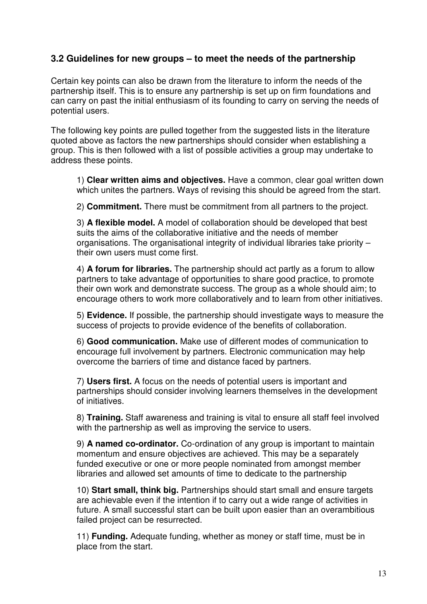# **3.2 Guidelines for new groups – to meet the needs of the partnership**

Certain key points can also be drawn from the literature to inform the needs of the partnership itself. This is to ensure any partnership is set up on firm foundations and can carry on past the initial enthusiasm of its founding to carry on serving the needs of potential users.

The following key points are pulled together from the suggested lists in the literature quoted above as factors the new partnerships should consider when establishing a group. This is then followed with a list of possible activities a group may undertake to address these points.

1) **Clear written aims and objectives.** Have a common, clear goal written down which unites the partners. Ways of revising this should be agreed from the start.

2) **Commitment.** There must be commitment from all partners to the project.

3) **A flexible model.** A model of collaboration should be developed that best suits the aims of the collaborative initiative and the needs of member organisations. The organisational integrity of individual libraries take priority – their own users must come first.

4) **A forum for libraries.** The partnership should act partly as a forum to allow partners to take advantage of opportunities to share good practice, to promote their own work and demonstrate success. The group as a whole should aim; to encourage others to work more collaboratively and to learn from other initiatives.

5) **Evidence.** If possible, the partnership should investigate ways to measure the success of projects to provide evidence of the benefits of collaboration.

6) **Good communication.** Make use of different modes of communication to encourage full involvement by partners. Electronic communication may help overcome the barriers of time and distance faced by partners.

7) **Users first.** A focus on the needs of potential users is important and partnerships should consider involving learners themselves in the development of initiatives.

8) **Training.** Staff awareness and training is vital to ensure all staff feel involved with the partnership as well as improving the service to users.

9) **A named co-ordinator.** Co-ordination of any group is important to maintain momentum and ensure objectives are achieved. This may be a separately funded executive or one or more people nominated from amongst member libraries and allowed set amounts of time to dedicate to the partnership

10) **Start small, think big.** Partnerships should start small and ensure targets are achievable even if the intention if to carry out a wide range of activities in future. A small successful start can be built upon easier than an overambitious failed project can be resurrected.

11) **Funding.** Adequate funding, whether as money or staff time, must be in place from the start.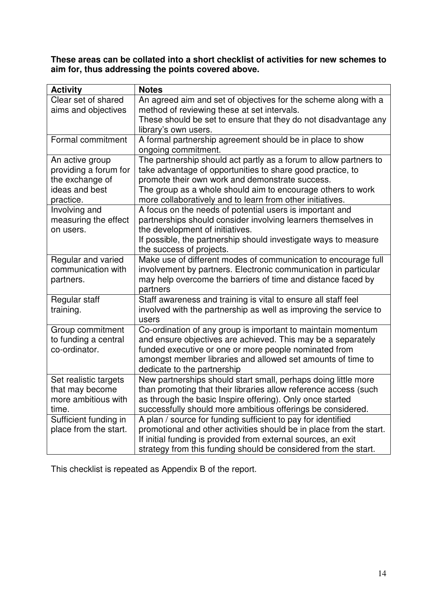**These areas can be collated into a short checklist of activities for new schemes to aim for, thus addressing the points covered above.** 

| <b>Activity</b>                                                                            | <b>Notes</b>                                                                                                                                                                                                                                                                                                   |
|--------------------------------------------------------------------------------------------|----------------------------------------------------------------------------------------------------------------------------------------------------------------------------------------------------------------------------------------------------------------------------------------------------------------|
| Clear set of shared<br>aims and objectives                                                 | An agreed aim and set of objectives for the scheme along with a<br>method of reviewing these at set intervals.                                                                                                                                                                                                 |
|                                                                                            | These should be set to ensure that they do not disadvantage any<br>library's own users.                                                                                                                                                                                                                        |
| Formal commitment                                                                          | A formal partnership agreement should be in place to show<br>ongoing commitment.                                                                                                                                                                                                                               |
| An active group<br>providing a forum for<br>the exchange of<br>ideas and best<br>practice. | The partnership should act partly as a forum to allow partners to<br>take advantage of opportunities to share good practice, to<br>promote their own work and demonstrate success.<br>The group as a whole should aim to encourage others to work<br>more collaboratively and to learn from other initiatives. |
| Involving and<br>measuring the effect<br>on users.                                         | A focus on the needs of potential users is important and<br>partnerships should consider involving learners themselves in<br>the development of initiatives.<br>If possible, the partnership should investigate ways to measure<br>the success of projects.                                                    |
| Regular and varied<br>communication with<br>partners.                                      | Make use of different modes of communication to encourage full<br>involvement by partners. Electronic communication in particular<br>may help overcome the barriers of time and distance faced by<br>partners                                                                                                  |
| Regular staff<br>training.                                                                 | Staff awareness and training is vital to ensure all staff feel<br>involved with the partnership as well as improving the service to<br>users                                                                                                                                                                   |
| Group commitment<br>to funding a central<br>co-ordinator.                                  | Co-ordination of any group is important to maintain momentum<br>and ensure objectives are achieved. This may be a separately<br>funded executive or one or more people nominated from<br>amongst member libraries and allowed set amounts of time to<br>dedicate to the partnership                            |
| Set realistic targets<br>that may become<br>more ambitious with<br>time.                   | New partnerships should start small, perhaps doing little more<br>than promoting that their libraries allow reference access (such<br>as through the basic Inspire offering). Only once started<br>successfully should more ambitious offerings be considered.                                                 |
| Sufficient funding in<br>place from the start.                                             | A plan / source for funding sufficient to pay for identified<br>promotional and other activities should be in place from the start.<br>If initial funding is provided from external sources, an exit<br>strategy from this funding should be considered from the start.                                        |

This checklist is repeated as Appendix B of the report.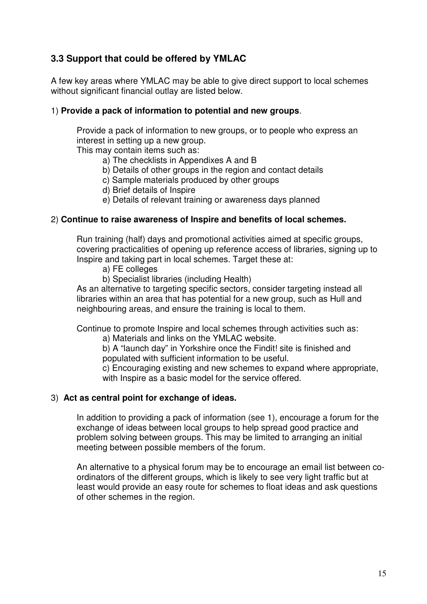# **3.3 Support that could be offered by YMLAC**

A few key areas where YMLAC may be able to give direct support to local schemes without significant financial outlay are listed below.

### 1) **Provide a pack of information to potential and new groups**.

Provide a pack of information to new groups, or to people who express an interest in setting up a new group.

This may contain items such as:

- a) The checklists in Appendixes A and B
- b) Details of other groups in the region and contact details
- c) Sample materials produced by other groups
- d) Brief details of Inspire
- e) Details of relevant training or awareness days planned

### 2) **Continue to raise awareness of Inspire and benefits of local schemes.**

Run training (half) days and promotional activities aimed at specific groups, covering practicalities of opening up reference access of libraries, signing up to Inspire and taking part in local schemes. Target these at:

- a) FE colleges
- b) Specialist libraries (including Health)

As an alternative to targeting specific sectors, consider targeting instead all libraries within an area that has potential for a new group, such as Hull and neighbouring areas, and ensure the training is local to them.

Continue to promote Inspire and local schemes through activities such as:

a) Materials and links on the YMLAC website.

b) A "launch day" in Yorkshire once the Findit! site is finished and populated with sufficient information to be useful.

c) Encouraging existing and new schemes to expand where appropriate, with Inspire as a basic model for the service offered.

#### 3) **Act as central point for exchange of ideas.**

In addition to providing a pack of information (see 1), encourage a forum for the exchange of ideas between local groups to help spread good practice and problem solving between groups. This may be limited to arranging an initial meeting between possible members of the forum.

An alternative to a physical forum may be to encourage an email list between coordinators of the different groups, which is likely to see very light traffic but at least would provide an easy route for schemes to float ideas and ask questions of other schemes in the region.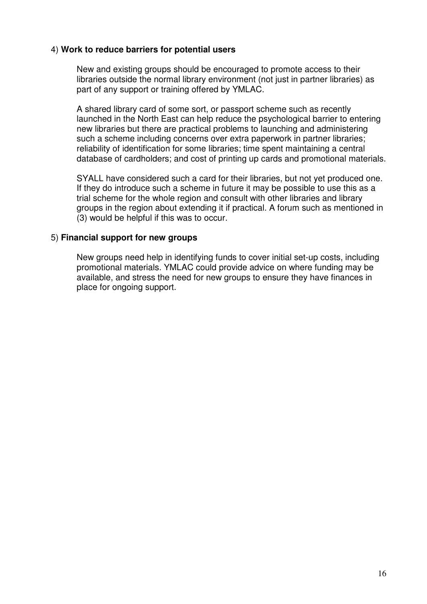### 4) **Work to reduce barriers for potential users**

New and existing groups should be encouraged to promote access to their libraries outside the normal library environment (not just in partner libraries) as part of any support or training offered by YMLAC.

A shared library card of some sort, or passport scheme such as recently launched in the North East can help reduce the psychological barrier to entering new libraries but there are practical problems to launching and administering such a scheme including concerns over extra paperwork in partner libraries; reliability of identification for some libraries; time spent maintaining a central database of cardholders; and cost of printing up cards and promotional materials.

SYALL have considered such a card for their libraries, but not yet produced one. If they do introduce such a scheme in future it may be possible to use this as a trial scheme for the whole region and consult with other libraries and library groups in the region about extending it if practical. A forum such as mentioned in (3) would be helpful if this was to occur.

#### 5) **Financial support for new groups**

New groups need help in identifying funds to cover initial set-up costs, including promotional materials. YMLAC could provide advice on where funding may be available, and stress the need for new groups to ensure they have finances in place for ongoing support.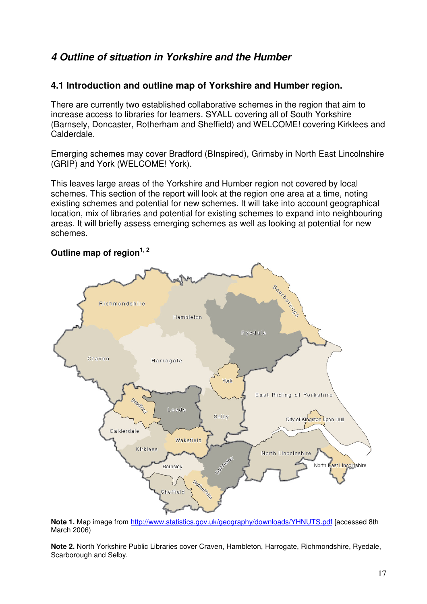# **4 Outline of situation in Yorkshire and the Humber**

# **4.1 Introduction and outline map of Yorkshire and Humber region.**

There are currently two established collaborative schemes in the region that aim to increase access to libraries for learners. SYALL covering all of South Yorkshire (Barnsely, Doncaster, Rotherham and Sheffield) and WELCOME! covering Kirklees and Calderdale.

Emerging schemes may cover Bradford (BInspired), Grimsby in North East Lincolnshire (GRIP) and York (WELCOME! York).

This leaves large areas of the Yorkshire and Humber region not covered by local schemes. This section of the report will look at the region one area at a time, noting existing schemes and potential for new schemes. It will take into account geographical location, mix of libraries and potential for existing schemes to expand into neighbouring areas. It will briefly assess emerging schemes as well as looking at potential for new schemes.

### **Outline map of region1, 2**



**Note 1.** Map image from http://www.statistics.gov.uk/geography/downloads/YHNUTS.pdf [accessed 8th March 2006)

**Note 2.** North Yorkshire Public Libraries cover Craven, Hambleton, Harrogate, Richmondshire, Ryedale, Scarborough and Selby.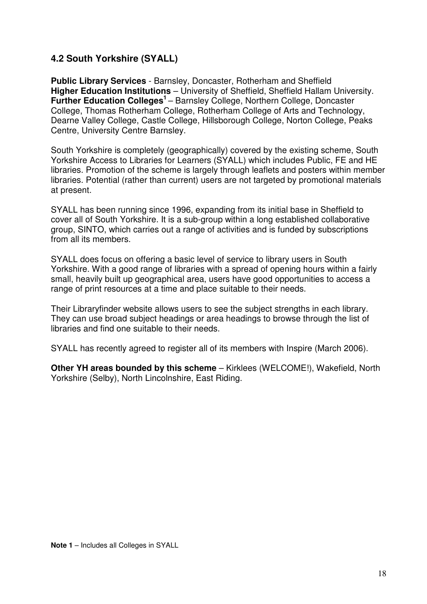# **4.2 South Yorkshire (SYALL)**

**Public Library Services** - Barnsley, Doncaster, Rotherham and Sheffield **Higher Education Institutions** – University of Sheffield, Sheffield Hallam University. **Further Education Colleges<sup>1</sup>** – Barnsley College, Northern College, Doncaster College, Thomas Rotherham College, Rotherham College of Arts and Technology, Dearne Valley College, Castle College, Hillsborough College, Norton College, Peaks Centre, University Centre Barnsley.

South Yorkshire is completely (geographically) covered by the existing scheme, South Yorkshire Access to Libraries for Learners (SYALL) which includes Public, FE and HE libraries. Promotion of the scheme is largely through leaflets and posters within member libraries. Potential (rather than current) users are not targeted by promotional materials at present.

SYALL has been running since 1996, expanding from its initial base in Sheffield to cover all of South Yorkshire. It is a sub-group within a long established collaborative group, SINTO, which carries out a range of activities and is funded by subscriptions from all its members.

SYALL does focus on offering a basic level of service to library users in South Yorkshire. With a good range of libraries with a spread of opening hours within a fairly small, heavily built up geographical area, users have good opportunities to access a range of print resources at a time and place suitable to their needs.

Their Libraryfinder website allows users to see the subject strengths in each library. They can use broad subject headings or area headings to browse through the list of libraries and find one suitable to their needs.

SYALL has recently agreed to register all of its members with Inspire (March 2006).

**Other YH areas bounded by this scheme** – Kirklees (WELCOME!), Wakefield, North Yorkshire (Selby), North Lincolnshire, East Riding.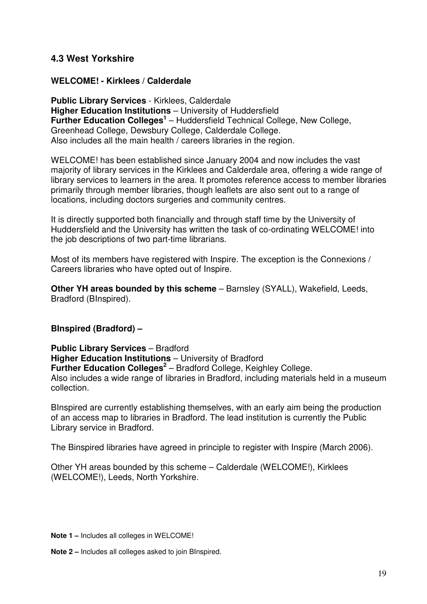# **4.3 West Yorkshire**

### **WELCOME! - Kirklees / Calderdale**

**Public Library Services** - Kirklees, Calderdale **Higher Education Institutions** – University of Huddersfield **Further Education Colleges<sup>1</sup>** – Huddersfield Technical College, New College, Greenhead College, Dewsbury College, Calderdale College. Also includes all the main health / careers libraries in the region.

WELCOME! has been established since January 2004 and now includes the vast majority of library services in the Kirklees and Calderdale area, offering a wide range of library services to learners in the area. It promotes reference access to member libraries primarily through member libraries, though leaflets are also sent out to a range of locations, including doctors surgeries and community centres.

It is directly supported both financially and through staff time by the University of Huddersfield and the University has written the task of co-ordinating WELCOME! into the job descriptions of two part-time librarians.

Most of its members have registered with Inspire. The exception is the Connexions / Careers libraries who have opted out of Inspire.

**Other YH areas bounded by this scheme** – Barnsley (SYALL), Wakefield, Leeds, Bradford (BInspired).

#### **BInspired (Bradford) –**

**Public Library Services** – Bradford **Higher Education Institutions** – University of Bradford **Further Education Colleges<sup>2</sup>** – Bradford College, Keighley College. Also includes a wide range of libraries in Bradford, including materials held in a museum collection.

BInspired are currently establishing themselves, with an early aim being the production of an access map to libraries in Bradford. The lead institution is currently the Public Library service in Bradford.

The Binspired libraries have agreed in principle to register with Inspire (March 2006).

Other YH areas bounded by this scheme – Calderdale (WELCOME!), Kirklees (WELCOME!), Leeds, North Yorkshire.

**Note 1 –** Includes all colleges in WELCOME!

**Note 2 –** Includes all colleges asked to join BInspired.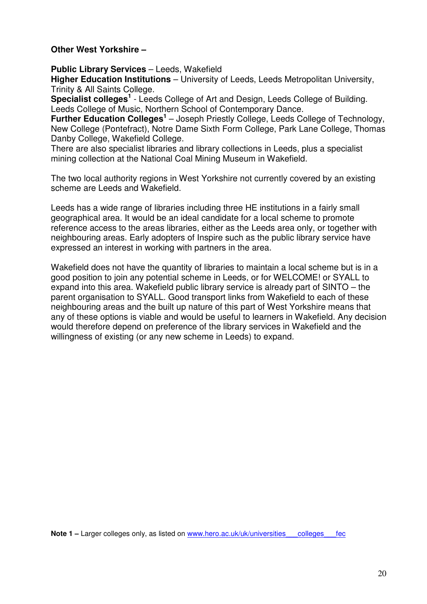#### **Other West Yorkshire –**

**Public Library Services** – Leeds, Wakefield

**Higher Education Institutions** – University of Leeds, Leeds Metropolitan University, Trinity & All Saints College.

Specialist colleges<sup>1</sup> - Leeds College of Art and Design, Leeds College of Building. Leeds College of Music, Northern School of Contemporary Dance.

**Further Education Colleges<sup>1</sup>** – Joseph Priestly College, Leeds College of Technology, New College (Pontefract), Notre Dame Sixth Form College, Park Lane College, Thomas Danby College, Wakefield College.

There are also specialist libraries and library collections in Leeds, plus a specialist mining collection at the National Coal Mining Museum in Wakefield.

The two local authority regions in West Yorkshire not currently covered by an existing scheme are Leeds and Wakefield.

Leeds has a wide range of libraries including three HE institutions in a fairly small geographical area. It would be an ideal candidate for a local scheme to promote reference access to the areas libraries, either as the Leeds area only, or together with neighbouring areas. Early adopters of Inspire such as the public library service have expressed an interest in working with partners in the area.

Wakefield does not have the quantity of libraries to maintain a local scheme but is in a good position to join any potential scheme in Leeds, or for WELCOME! or SYALL to expand into this area. Wakefield public library service is already part of SINTO – the parent organisation to SYALL. Good transport links from Wakefield to each of these neighbouring areas and the built up nature of this part of West Yorkshire means that any of these options is viable and would be useful to learners in Wakefield. Any decision would therefore depend on preference of the library services in Wakefield and the willingness of existing (or any new scheme in Leeds) to expand.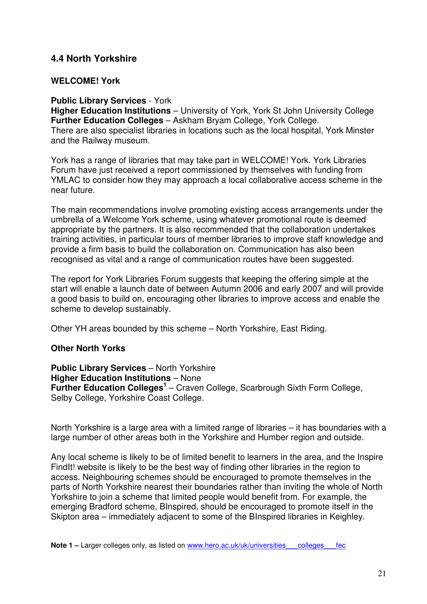# **4.4 North Yorkshire**

#### **WELCOME! York**

#### **Public Library Services** - York

**Higher Education Institutions** – University of York, York St John University College **Further Education Colleges** – Askham Bryam College, York College. There are also specialist libraries in locations such as the local hospital, York Minster and the Railway museum.

York has a range of libraries that may take part in WELCOME! York. York Libraries Forum have just received a report commissioned by themselves with funding from YMLAC to consider how they may approach a local collaborative access scheme in the near future.

The main recommendations involve promoting existing access arrangements under the umbrella of a Welcome York scheme, using whatever promotional route is deemed appropriate by the partners. It is also recommended that the collaboration undertakes training activities, in particular tours of member libraries to improve staff knowledge and provide a firm basis to build the collaboration on. Communication has also been recognised as vital and a range of communication routes have been suggested.

The report for York Libraries Forum suggests that keeping the offering simple at the start will enable a launch date of between Autumn 2006 and early 2007 and will provide a good basis to build on, encouraging other libraries to improve access and enable the scheme to develop sustainably.

Other YH areas bounded by this scheme – North Yorkshire, East Riding.

#### **Other North Yorks**

**Public Library Services** – North Yorkshire **Higher Education Institutions** – None **Further Education Colleges<sup>1</sup>** – Craven College, Scarbrough Sixth Form College, Selby College, Yorkshire Coast College.

North Yorkshire is a large area with a limited range of libraries – it has boundaries with a large number of other areas both in the Yorkshire and Humber region and outside.

Any local scheme is likely to be of limited benefit to learners in the area, and the Inspire FindIt! website is likely to be the best way of finding other libraries in the region to access. Neighbouring schemes should be encouraged to promote themselves in the parts of North Yorkshire nearest their boundaries rather than inviting the whole of North Yorkshire to join a scheme that limited people would benefit from. For example, the emerging Bradford scheme, BInspired, should be encouraged to promote itself in the Skipton area – immediately adjacent to some of the BInspired libraries in Keighley.

**Note 1 – Larger colleges only, as listed on www.hero.ac.uk/uk/universities** colleges fec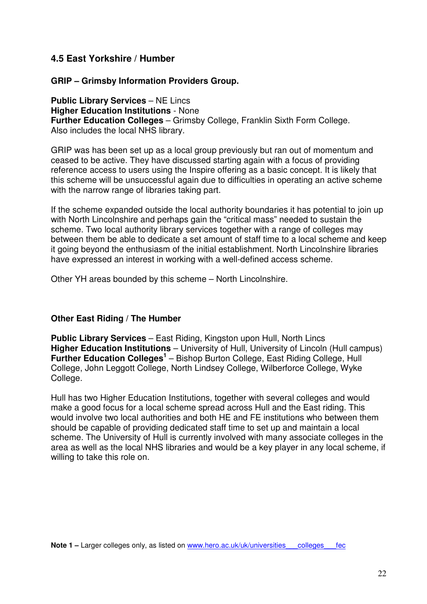# **4.5 East Yorkshire / Humber**

### **GRIP – Grimsby Information Providers Group.**

**Public Library Services** – NE Lincs **Higher Education Institutions** - None **Further Education Colleges** – Grimsby College, Franklin Sixth Form College. Also includes the local NHS library.

GRIP was has been set up as a local group previously but ran out of momentum and ceased to be active. They have discussed starting again with a focus of providing reference access to users using the Inspire offering as a basic concept. It is likely that this scheme will be unsuccessful again due to difficulties in operating an active scheme with the narrow range of libraries taking part.

If the scheme expanded outside the local authority boundaries it has potential to join up with North Lincolnshire and perhaps gain the "critical mass" needed to sustain the scheme. Two local authority library services together with a range of colleges may between them be able to dedicate a set amount of staff time to a local scheme and keep it going beyond the enthusiasm of the initial establishment. North Lincolnshire libraries have expressed an interest in working with a well-defined access scheme.

Other YH areas bounded by this scheme – North Lincolnshire.

### **Other East Riding / The Humber**

**Public Library Services** – East Riding, Kingston upon Hull, North Lincs **Higher Education Institutions** – University of Hull, University of Lincoln (Hull campus) **Further Education Colleges<sup>1</sup>** – Bishop Burton College, East Riding College, Hull College, John Leggott College, North Lindsey College, Wilberforce College, Wyke College.

Hull has two Higher Education Institutions, together with several colleges and would make a good focus for a local scheme spread across Hull and the East riding. This would involve two local authorities and both HE and FE institutions who between them should be capable of providing dedicated staff time to set up and maintain a local scheme. The University of Hull is currently involved with many associate colleges in the area as well as the local NHS libraries and would be a key player in any local scheme, if willing to take this role on.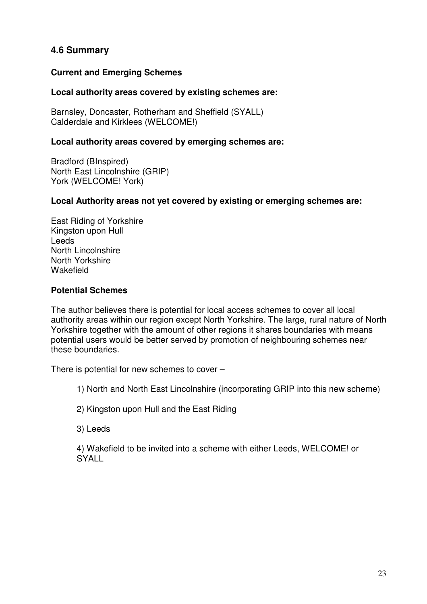# **4.6 Summary**

# **Current and Emerging Schemes**

### **Local authority areas covered by existing schemes are:**

Barnsley, Doncaster, Rotherham and Sheffield (SYALL) Calderdale and Kirklees (WELCOME!)

### **Local authority areas covered by emerging schemes are:**

Bradford (BInspired) North East Lincolnshire (GRIP) York (WELCOME! York)

### **Local Authority areas not yet covered by existing or emerging schemes are:**

East Riding of Yorkshire Kingston upon Hull Leeds North Lincolnshire North Yorkshire Wakefield

### **Potential Schemes**

The author believes there is potential for local access schemes to cover all local authority areas within our region except North Yorkshire. The large, rural nature of North Yorkshire together with the amount of other regions it shares boundaries with means potential users would be better served by promotion of neighbouring schemes near these boundaries.

There is potential for new schemes to cover –

1) North and North East Lincolnshire (incorporating GRIP into this new scheme)

2) Kingston upon Hull and the East Riding

3) Leeds

4) Wakefield to be invited into a scheme with either Leeds, WELCOME! or **SYALL**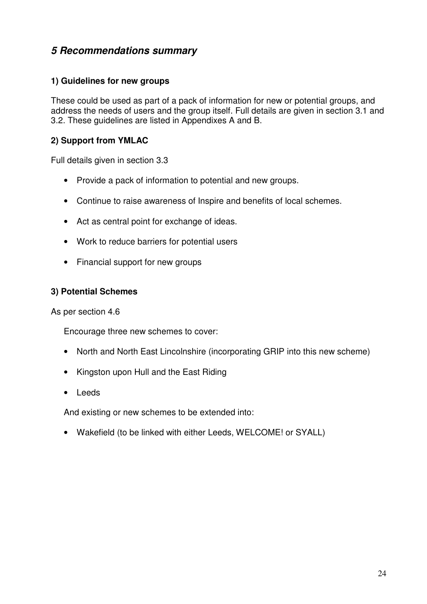# **5 Recommendations summary**

### **1) Guidelines for new groups**

These could be used as part of a pack of information for new or potential groups, and address the needs of users and the group itself. Full details are given in section 3.1 and 3.2. These guidelines are listed in Appendixes A and B.

### **2) Support from YMLAC**

Full details given in section 3.3

- Provide a pack of information to potential and new groups.
- Continue to raise awareness of Inspire and benefits of local schemes.
- Act as central point for exchange of ideas.
- Work to reduce barriers for potential users
- Financial support for new groups

### **3) Potential Schemes**

As per section 4.6

Encourage three new schemes to cover:

- North and North East Lincolnshire (incorporating GRIP into this new scheme)
- Kingston upon Hull and the East Riding
- Leeds

And existing or new schemes to be extended into:

• Wakefield (to be linked with either Leeds, WELCOME! or SYALL)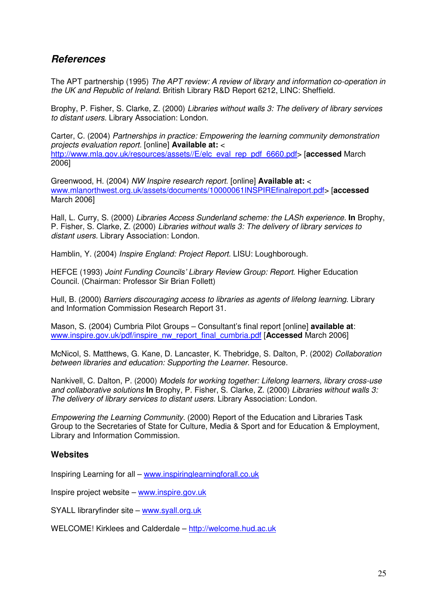# **References**

The APT partnership (1995) The APT review: A review of library and information co-operation in the UK and Republic of Ireland. British Library R&D Report 6212, LINC: Sheffield.

Brophy, P. Fisher, S. Clarke, Z. (2000) Libraries without walls 3: The delivery of library services to distant users. Library Association: London.

Carter, C. (2004) Partnerships in practice: Empowering the learning community demonstration projects evaluation report. [online] **Available at:** < http://www.mla.gov.uk/resources/assets//E/elc\_eval\_rep\_pdf\_6660.pdf> [**accessed** March 2006]

Greenwood, H. (2004) NW Inspire research report. [online] **Available at:** < www.mlanorthwest.org.uk/assets/documents/10000061INSPIREfinalreport.pdf> [**accessed** March 2006]

Hall, L. Curry, S. (2000) Libraries Access Sunderland scheme: the LASh experience. **In** Brophy, P. Fisher, S. Clarke, Z. (2000) Libraries without walls 3: The delivery of library services to distant users. Library Association: London.

Hamblin, Y. (2004) Inspire England: Project Report. LISU: Loughborough.

HEFCE (1993) Joint Funding Councils' Library Review Group: Report. Higher Education Council. (Chairman: Professor Sir Brian Follett)

Hull, B. (2000) Barriers discouraging access to libraries as agents of lifelong learning. Library and Information Commission Research Report 31.

Mason, S. (2004) Cumbria Pilot Groups – Consultant's final report [online] **available at**: www.inspire.gov.uk/pdf/inspire\_nw\_report\_final\_cumbria.pdf [**Accessed** March 2006]

McNicol, S. Matthews, G. Kane, D. Lancaster, K. Thebridge, S. Dalton, P. (2002) Collaboration between libraries and education: Supporting the Learner. Resource.

Nankivell, C. Dalton, P. (2000) Models for working together: Lifelong learners, library cross-use and collaborative solutions **In** Brophy, P. Fisher, S. Clarke, Z. (2000) Libraries without walls 3: The delivery of library services to distant users. Library Association: London.

Empowering the Learning Community. (2000) Report of the Education and Libraries Task Group to the Secretaries of State for Culture, Media & Sport and for Education & Employment, Library and Information Commission.

#### **Websites**

Inspiring Learning for all – www.inspiringlearningforall.co.uk

Inspire project website – www.inspire.gov.uk

SYALL libraryfinder site – www.syall.org.uk

WELCOME! Kirklees and Calderdale – http://welcome.hud.ac.uk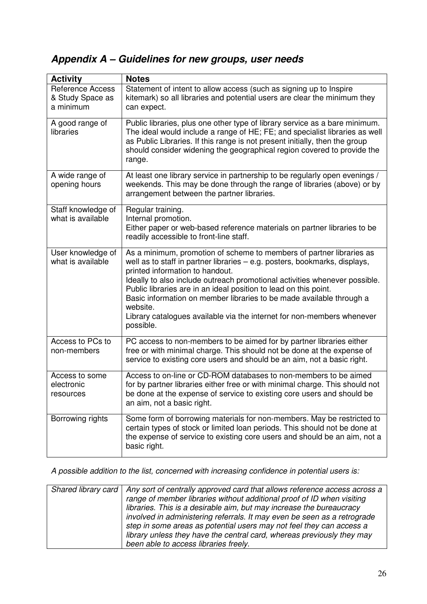# **Appendix A – Guidelines for new groups, user needs**

| <b>Activity</b>                                          | <b>Notes</b>                                                                                                                                                                                                                                                                                                                                                                                                                                                                                                       |
|----------------------------------------------------------|--------------------------------------------------------------------------------------------------------------------------------------------------------------------------------------------------------------------------------------------------------------------------------------------------------------------------------------------------------------------------------------------------------------------------------------------------------------------------------------------------------------------|
| <b>Reference Access</b><br>& Study Space as<br>a minimum | Statement of intent to allow access (such as signing up to Inspire<br>kitemark) so all libraries and potential users are clear the minimum they<br>can expect.                                                                                                                                                                                                                                                                                                                                                     |
| A good range of<br>libraries                             | Public libraries, plus one other type of library service as a bare minimum.<br>The ideal would include a range of HE; FE; and specialist libraries as well<br>as Public Libraries. If this range is not present initially, then the group<br>should consider widening the geographical region covered to provide the<br>range.                                                                                                                                                                                     |
| A wide range of<br>opening hours                         | At least one library service in partnership to be regularly open evenings /<br>weekends. This may be done through the range of libraries (above) or by<br>arrangement between the partner libraries.                                                                                                                                                                                                                                                                                                               |
| Staff knowledge of<br>what is available                  | Regular training.<br>Internal promotion.<br>Either paper or web-based reference materials on partner libraries to be<br>readily accessible to front-line staff.                                                                                                                                                                                                                                                                                                                                                    |
| User knowledge of<br>what is available                   | As a minimum, promotion of scheme to members of partner libraries as<br>well as to staff in partner libraries – e.g. posters, bookmarks, displays,<br>printed information to handout.<br>Ideally to also include outreach promotional activities whenever possible.<br>Public libraries are in an ideal position to lead on this point.<br>Basic information on member libraries to be made available through a<br>website.<br>Library catalogues available via the internet for non-members whenever<br>possible. |
| Access to PCs to<br>non-members                          | PC access to non-members to be aimed for by partner libraries either<br>free or with minimal charge. This should not be done at the expense of<br>service to existing core users and should be an aim, not a basic right.                                                                                                                                                                                                                                                                                          |
| Access to some<br>electronic<br>resources                | Access to on-line or CD-ROM databases to non-members to be aimed<br>for by partner libraries either free or with minimal charge. This should not<br>be done at the expense of service to existing core users and should be<br>an aim, not a basic right.                                                                                                                                                                                                                                                           |
| Borrowing rights                                         | Some form of borrowing materials for non-members. May be restricted to<br>certain types of stock or limited loan periods. This should not be done at<br>the expense of service to existing core users and should be an aim, not a<br>basic right.                                                                                                                                                                                                                                                                  |

A possible addition to the list, concerned with increasing confidence in potential users is:

| Shared library card   Any sort of centrally approved card that allows reference access across a |
|-------------------------------------------------------------------------------------------------|
| range of member libraries without additional proof of ID when visiting                          |
| libraries. This is a desirable aim, but may increase the bureaucracy                            |
| involved in administering referrals. It may even be seen as a retrograde                        |
| step in some areas as potential users may not feel they can access a                            |
| library unless they have the central card, whereas previously they may                          |
| been able to access libraries freely.                                                           |